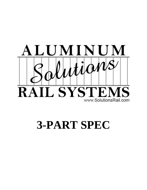

**3-PART SPEC**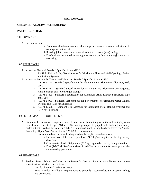#### **SECTION 05720**

#### **ORNAMENTAL ALUMINUM RAILINGS**

# **PART 1 - GENERAL**

# 1.01 SUMMARY

- A. Section Includes:
	- a. Solutions aluminum extruded shape top rail, square or round balustrade & rectangular bottom rail.
	- b.Rotating joint connections to permit adaption to slope (stair) railing.
	- c.Pre-fabricated structural mounting post system [surface mounting] [side/fascia mounting].

#### 1.02 REFERENCES

- A. American National Standard Specifications (ANSI)
	- 1. ANSI A1264.1 Safety Requirements for Workplace Floor and Wall Openings, Stairs, and Railing Systems.
- B. American Society for Testing and Materials: Standard Specifications (ASTM)
	- 1. ASTM B 211 Standard Specification for Aluminum and Aluminum-Alloy Bar, Rod, Wire.
	- 2. ASTM B 247 Standard Specification for Aluminum and Aluminum Die Forgings, Hand Forgings and rolled Ring Forgings.
	- 3. ASTM B 429 Standard Specification for Aluminum-Alloy Extruded Structural Pipe and Tube.
	- 4. ASTM E 935 Standard Test Methods for Performance of Permanent Metal Railing Systems and Rails for Buildings.
	- 5. ASTM E 985 Standard Test Methods for Permanent Metal Railing Systems and Rails for Buildings.

#### 1.03 PERFORMANCE REQUIREMENTS

- A. Structural Performance: Engineer, fabricate, and install handrails, guardrails, and railing systems to withstand, when tested per ASTM E 935, loadings required by applicable building and safety codes but not less than the following: NOTE; Solutions Guard Railing has been tested for "Public Assembly- Open Areas" under the ASTM E 985 requirements.
	- 1. Concentrated and uniform loading need not be applied simultaneously.
		- a.Uniform load: [60 pounds per foot (74.3 kg/m)] applied at the top in any direction.
		- b.Concentrated load: [365 pounds (90.6 kg)] applied at the top in any direction.
		- c. Post  $(1-7/8" \& 3-1/2")$  surface  $\&$  side/fascia post mounts were part of the above testing procedure.

### 1.04 SUBMITTALS

- A. Product Data: Submit sufficient manufacturer's data to indicate compliance with these specifications. Mark data to indicate:
	- 1. Details of material and construction.
	- 2. Recommended installation requirements to properly accommodate the proposal railing and accessories.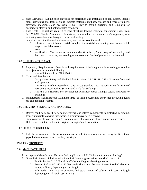- B. Shop Drawings: Submit shop drawings for fabrication and installation of rail system. Include plans, elevations and detail sections. Indicate materials, methods, finishes and types of joinery, fasteners, anchorages and accessory items. Provide setting diagrams and templates for anchorages, sleeves, and bolts installed by others.
- C. Load Tests: For railings required to meet structural loading requirements, submit results from ASTM E 935 (Public Assembly – Open Areas) conducted on the manufacturer's supplied system indicating compliance with required structural loading.
- D. Samples: Submit rail samples of same alloy and thickness of the work:
	- 1. Selection: Submit [color charts] [samples of materials] representing manufacturer's full range of available colors. --or--
	- 2. Verification: Two samples, minimum size 6 inches (15 cm) long of same alloy and thickness of the work, representing actual color and finish of products to be installed.

# 1.05 QUALITY ASSURANCE

- A. Regulatory Requirements: Comply with requirements of building authorities having jurisdiction in project location and the following:
	- 1. Handrail Standard: ANSI A1264.1
- B. Codes and Regulations:
	- 1. Occupational Safety and Health Administration 29 CFR 1910.23 Guarding floor and wall openings.
	- 2. ASTM E 935 Public Assembly Open Areas Standard Test Methods for Performance of Permanent Metal Railing Systems and Rails for Buildings.
	- 3. ASTM E 985 Standard Test Methods for Permanent Metal Railing Systems and Rails for Buildings.
- C. Manufacturer Qualifications: Minimum three (5) years documented experience producing guard rail and hand rail systems..

### 1.06 DELIVERY, STORAGE, AND HANDLING

- A. Deliver hand rails, guard rails, railing systems, and related components in protective packaging. Inspect materials to ensure that specified products have been received.
- B. Store components to avoid damage from moisture, abrasion, and other construction activities.
- C. Deliver and maintain material in original packaging until installation.

### 1.07 PROJECT CONDITIONS

A. Field Measurements: Take measurements of actual dimensions where necessary for fit without gaps. Indicate measurements on shop drawings.

# **PART 2 - PRODUCTS**

### 2.01 MANUFACTURERS

- A. Acceptable Manufacturer: Fairway Building Products, L.P. "Solutions Aluminum Railing".
- B. Guard Rail System: Solutions Aluminum Rail System: guard rail system shall consist of:
	- 1. Top Rail  $2\frac{3}{4}$ " x 2" "Bread Loaf" shape with graspable finger returns
	- 2. Bottom Rail 1-7/16" x 1" Rectangle shape with baluster inserts installed (baluster centers will vary depending on rail length).
	- 3. Balustrade 3/4" Square or Round balusters. Length of baluster will vary in length depending on rail height (36" or 42").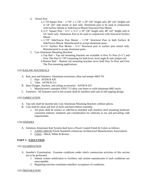- 4. Newel Post
	- a. 1-7/8 Square Post 1-7/8" x 1-7/8" x 39" (36" height rail), 48" (42" height) rail or 54" (42" side mount or stair rail). Aluminum post to be used in conjunction with Surface Mount or Side/Fascia Mount Structural Post Mount.
	- b.3-½" Square Post 3-½" x 3-½" x 39" (36" height rail), 48" (42" height rail) or 54" (stair rail). Aluminum Post to be used in conjunction with Structural Surface Mount .
	- c. 1-7/8" Side/Fascia Post Mount 1-7/8" Structural Post in both Surface & Side/Fascia Mount. Manufactured to accept aluminum posts .
	- d.3-½" Surface Post Mount 3-½" Structural post in surface post mount only. Manufactured to accept aluminum posts .
- 5. Cast Aluminum Mounting Brackets
	- a.Top Rail Top rail mounting brackets are available in Post To Post (3-½") and Over The Post (1-7/8") mounting for both level, level angle & stair (slope) rail.
	- b.Bottom Rail Bottom rail mounting brackets serve both Post To Post and Over The Post mounting applications.

# 2.02 RAILING MATERIALS

- A. Rail, post and balusters: Aluminum extrusions; alloy and temper 6063-T6.
	- 1. Pipe: ASTM B 429.
	- 2. Tube: ASTM B 211.
- B. Base Flanges, Anchors, and railing accessories: ASTM B 247.
	- 1. Manufacturer's standard ANSI 713 alloy cast bases or solid aluminum 6063 stock.
- C. Fasteners: All fasteners used in the system shall be stainless steel and of self-tapping design.

### 2.03 FABRICATION

- A. Top rails shall be inserted into Cast Aluminum Mounting Brackets without splices.
- B. Cuts shall be clean and free of nicks and burrs before assembly.
	- 1. All posts shall be surface or side/fascia mounted with stainless steel mounting hardware consistent industry standards and consideration for substrata in use and prevailing code requirements.

### 2.04 FINISHES

- A. Solutions Aluminum Rail System shall have a Power Coated Finish & Colors as follows:
	- 1. AAMA 2604-05 Finish Standards (American Architectural Manufacturers Association)
	- 2. Colors Black, White & Bronze

# **PART 3 - EXECUTION**

### 3.01 EXAMINATION

- A. Installer's Examination: Examine conditions under which construction activities of this section are to be performed.
	- 1. Submit written notification to Architect and system manufacturer if such conditions are unacceptable.
	- 2. Beginning erection constitutes installer's acceptance of conditions.

### 3.02 PREPARATION